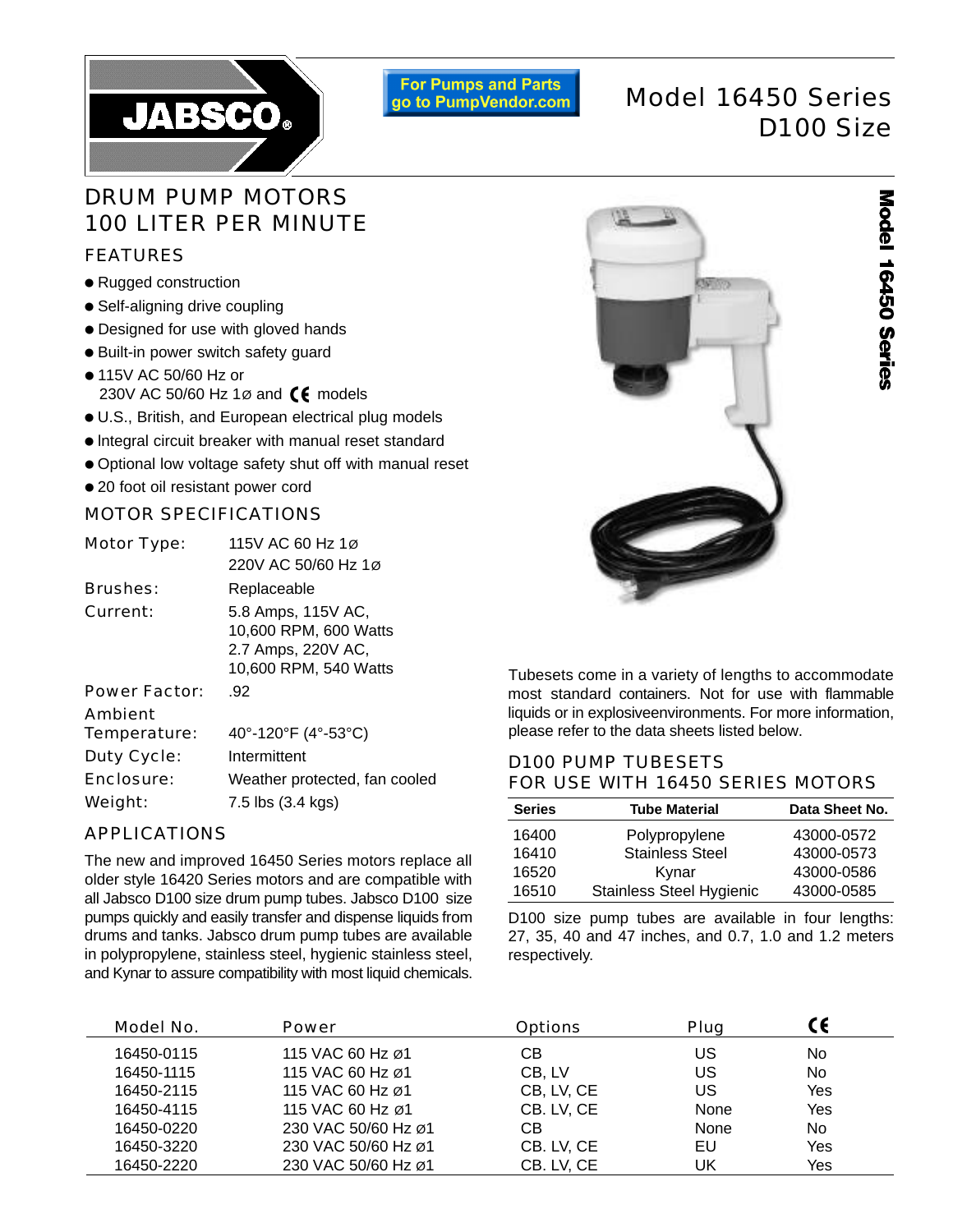

**For Pumps and Parts** go to PumpVendor.com

# Model 16450 Series D100 Size

## DRUM PUMP MOTORS 100 LITER PER MINUTE

## FEATURES

- Rugged construction
- Self-aligning drive coupling
- Designed for use with gloved hands
- Built-in power switch safety guard
- 115V AC 50/60 Hz or 230V AC 50/60 Hz 1 $\varnothing$  and  $\zeta \xi$  models
- U.S., British, and European electrical plug models
- lntegral circuit breaker with manual reset standard
- Optional low voltage safety shut off with manual reset
- 20 foot oil resistant power cord

## MOTOR SPECIFICATIONS

| <b>Motor Type:</b>   | 115V AC 60 Hz 1ø                                                                           |  |  |  |
|----------------------|--------------------------------------------------------------------------------------------|--|--|--|
|                      | 220V AC 50/60 Hz 1ø                                                                        |  |  |  |
| <b>Brushes:</b>      | Replaceable                                                                                |  |  |  |
| Current:             | 5.8 Amps, 115V AC,<br>10,600 RPM, 600 Watts<br>2.7 Amps, 220V AC,<br>10,600 RPM, 540 Watts |  |  |  |
| <b>Power Factor:</b> | .92                                                                                        |  |  |  |
| <b>Ambient</b>       |                                                                                            |  |  |  |
| Temperature:         | 40°-120°F (4°-53°C)                                                                        |  |  |  |
| <b>Duty Cycle:</b>   | Intermittent                                                                               |  |  |  |
| Enclosure:           | Weather protected, fan cooled                                                              |  |  |  |
| Weight:              | 7.5 lbs (3.4 kgs)                                                                          |  |  |  |

## APPLICATIONS

The new and improved 16450 Series motors replace all older style 16420 Series motors and are compatible with all Jabsco D100 size drum pump tubes. Jabsco D100 size pumps quickly and easily transfer and dispense liquids from drums and tanks. Jabsco drum pump tubes are available in polypropylene, stainless steel, hygienic stainless steel, and Kynar to assure compatibility with most liquid chemicals.



Tubesets come in a variety of lengths to accommodate most standard containers. Not for use with flammable liquids or in explosiveenvironments. For more information, please refer to the data sheets listed below.

## D100 PUMP TUBESETS FOR USE WITH 16450 SERIES MOTORS

| <b>Series</b> | <b>Tube Material</b>     | Data Sheet No. |
|---------------|--------------------------|----------------|
| 16400         | Polypropylene            | 43000-0572     |
| 16410         | <b>Stainless Steel</b>   | 43000-0573     |
| 16520         | Kynar                    | 43000-0586     |
| 16510         | Stainless Steel Hygienic | 43000-0585     |

D100 size pump tubes are available in four lengths: 27, 35, 40 and 47 inches, and 0.7, 1.0 and 1.2 meters respectively.

| Model No.  | <b>Power</b>        | <b>Options</b> | Plug |     |
|------------|---------------------|----------------|------|-----|
| 16450-0115 | 115 VAC 60 Hz ø1    | CВ             | US   | No  |
| 16450-1115 | 115 VAC 60 Hz ø1    | CB, LV         | US   | No. |
| 16450-2115 | 115 VAC 60 Hz ø1    | CB, LV, CE     | US   | Yes |
| 16450-4115 | 115 VAC 60 Hz Ø1    | CB. LV, CE     | None | Yes |
| 16450-0220 | 230 VAC 50/60 Hz ø1 | CВ             | None | No. |
| 16450-3220 | 230 VAC 50/60 Hz ø1 | CB. LV, CE     | EU   | Yes |
| 16450-2220 | 230 VAC 50/60 Hz ø1 | CB. LV, CE     | JK   | Yes |

Model 16450 Series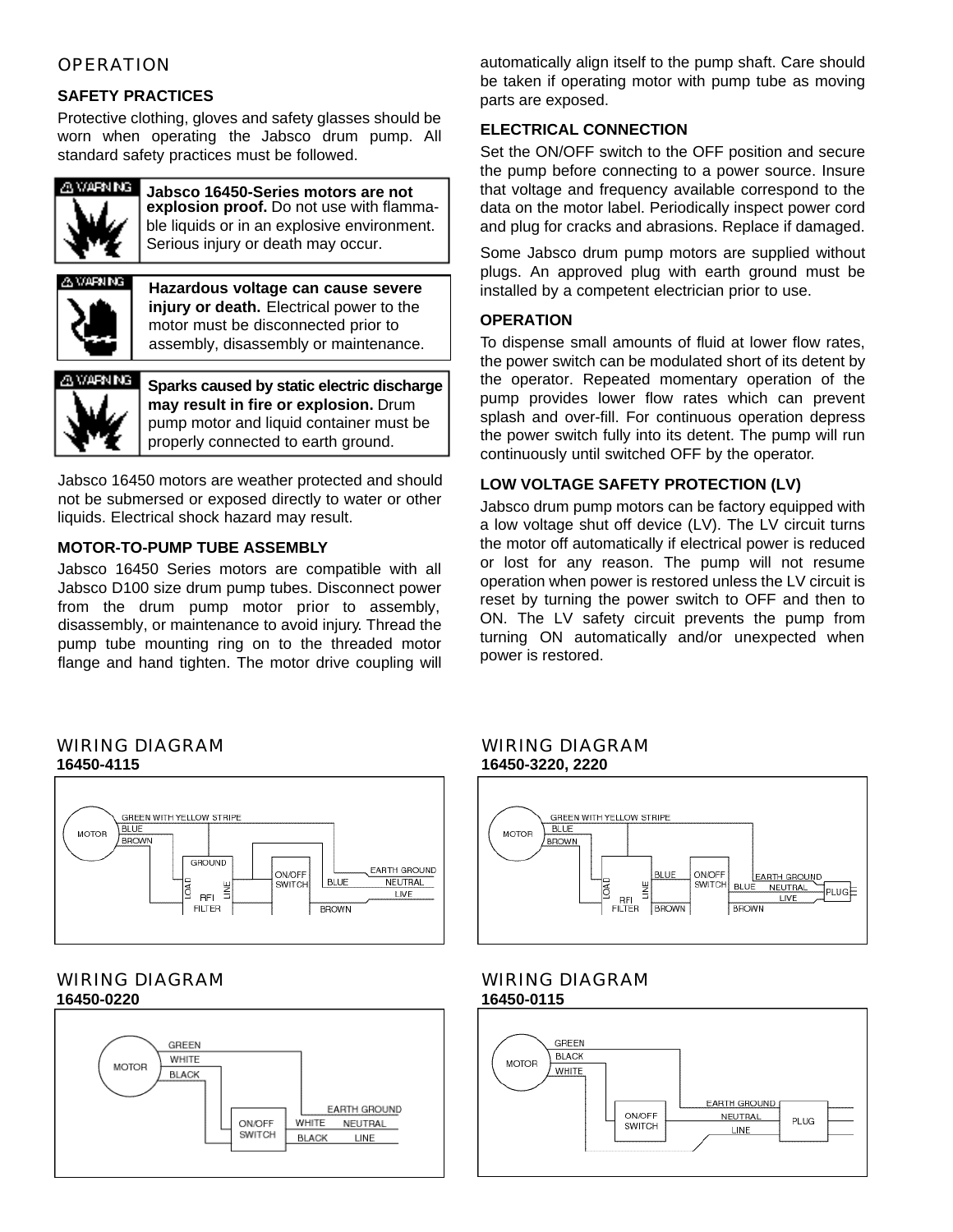## **OPERATION**

#### **SAFETY PRACTICES**

Protective clothing, gloves and safety glasses should be worn when operating the Jabsco drum pump. All standard safety practices must be followed.



**Jabsco 16450-Series motors are not explosion proof.** Do not use with flammable liquids or in an explosive environment. Serious injury or death may occur.



**Hazardous voltage can cause severe injury or death.** Electrical power to the motor must be disconnected prior to assembly, disassembly or maintenance.

**WARNING** 

**Sparks caused by static electric discharge may result in fire or explosion.** Drum pump motor and liquid container must be properly connected to earth ground.

Jabsco 16450 motors are weather protected and should not be submersed or exposed directly to water or other liquids. Electrical shock hazard may result.

## **MOTOR-TO-PUMP TUBE ASSEMBLY**

Jabsco 16450 Series motors are compatible with all Jabsco D100 size drum pump tubes. Disconnect power from the drum pump motor prior to assembly, disassembly, or maintenance to avoid injury. Thread the pump tube mounting ring on to the threaded motor flange and hand tighten. The motor drive coupling will automatically align itself to the pump shaft. Care should be taken if operating motor with pump tube as moving parts are exposed.

### **ELECTRICAL CONNECTION**

Set the ON/OFF switch to the OFF position and secure the pump before connecting to a power source. Insure that voltage and frequency available correspond to the data on the motor label. Periodically inspect power cord and plug for cracks and abrasions. Replace if damaged.

Some Jabsco drum pump motors are supplied without plugs. An approved plug with earth ground must be installed by a competent electrician prior to use.

#### **OPERATION**

To dispense small amounts of fluid at lower flow rates, the power switch can be modulated short of its detent by the operator. Repeated momentary operation of the pump provides lower flow rates which can prevent splash and over-fill. For continuous operation depress the power switch fully into its detent. The pump will run continuously until switched OFF by the operator.

## **LOW VOLTAGE SAFETY PROTECTION (LV)**

Jabsco drum pump motors can be factory equipped with a low voltage shut off device (LV). The LV circuit turns the motor off automatically if electrical power is reduced or lost for any reason. The pump will not resume operation when power is restored unless the LV circuit is reset by turning the power switch to OFF and then to ON. The LV safety circuit prevents the pump from turning ON automatically and/or unexpected when power is restored.

#### WIRING DIAGRAM **16450-4115**



#### WIRING DIAGRAM **16450-0220**



#### WIRING DIAGRAM **16450-3220, 2220**



#### WIRING DIAGRAM **16450-0115**

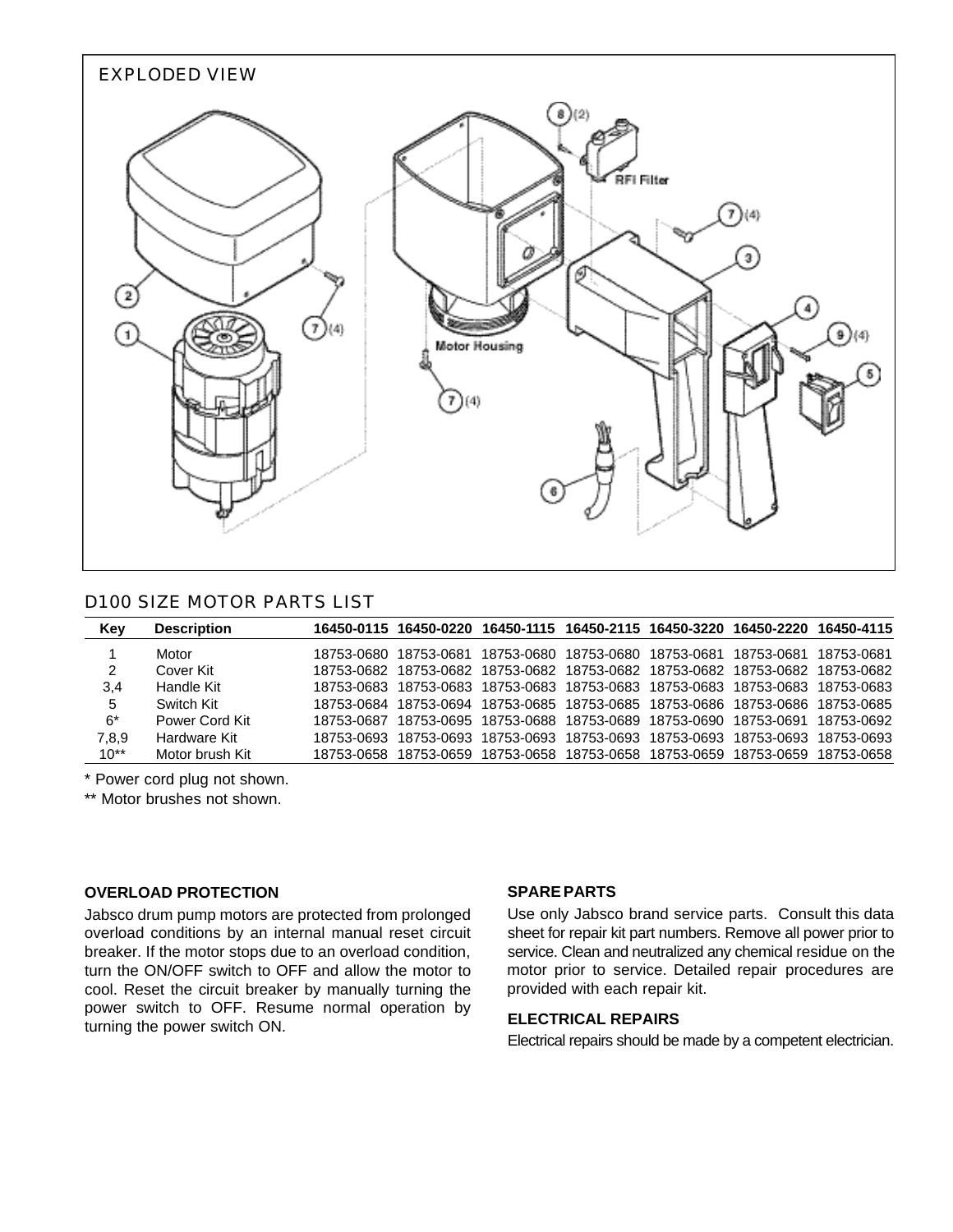

## D100 SIZE MOTOR PARTS LIST

| Key    | <b>Description</b> |            | 16450-0115 16450-0220 |            | 16450-1115 16450-2115 16450-3220 16450-2220 16450-4115 |                                  |            |            |
|--------|--------------------|------------|-----------------------|------------|--------------------------------------------------------|----------------------------------|------------|------------|
|        | Motor              |            | 18753-0680 18753-0681 |            | 18753-0680 18753-0680 18753-0681                       |                                  | 18753-0681 | 18753-0681 |
| 2      | Cover Kit          |            | 18753-0682 18753-0682 |            | 18753-0682 18753-0682 18753-0682 18753-0682            |                                  |            | 18753-0682 |
| 3,4    | Handle Kit         |            | 18753-0683 18753-0683 |            | 18753-0683 18753-0683 18753-0683 18753-0683            |                                  |            | 18753-0683 |
| 5      | Switch Kit         | 18753-0684 | 18753-0694            |            | 18753-0685 18753-0685 18753-0686 18753-0686            |                                  |            | 18753-0685 |
| 6*     | Power Cord Kit     | 18753-0687 | 18753-0695            |            | 18753-0688 18753-0689 18753-0690 18753-0691            |                                  |            | 18753-0692 |
| 7,8,9  | Hardware Kit       | 18753-0693 | 18753-0693            | 18753-0693 |                                                        | 18753-0693 18753-0693 18753-0693 |            | 18753-0693 |
| $10**$ | Motor brush Kit    | 18753-0658 | 18753-0659            |            | 18753-0658 18753-0658 18753-0659 18753-0659            |                                  |            | 18753-0658 |

\* Power cord plug not shown.

\*\* Motor brushes not shown.

#### **OVERLOAD PROTECTION**

Jabsco drum pump motors are protected from prolonged overload conditions by an internal manual reset circuit breaker. If the motor stops due to an overload condition, turn the ON/OFF switch to OFF and allow the motor to cool. Reset the circuit breaker by manually turning the power switch to OFF. Resume normal operation by turning the power switch ON.

#### **SPARE PARTS**

Use only Jabsco brand service parts. Consult this data sheet for repair kit part numbers. Remove all power prior to service. Clean and neutralized any chemical residue on the motor prior to service. Detailed repair procedures are provided with each repair kit.

#### **ELECTRICAL REPAIRS**

Electrical repairs should be made by a competent electrician.